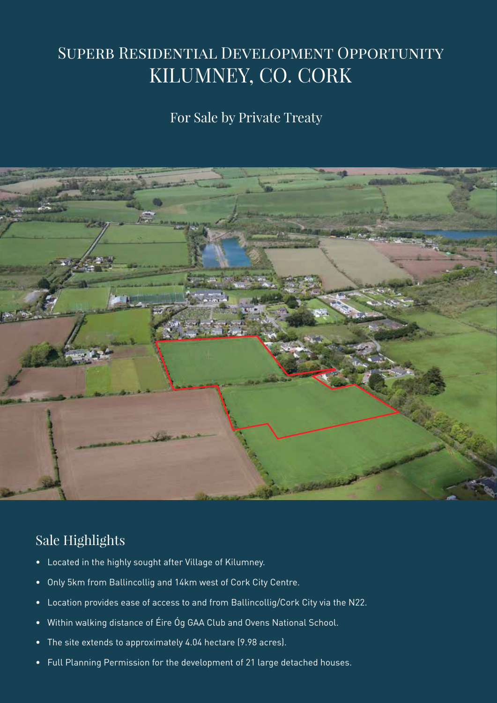# SUPERB RESIDENTIAL DEVELOPMENT OPPORTUNITY KILUMNEY, CO. CORK

### For Sale by Private Treaty



## Sale Highlights

- Located in the highly sought after Village of Kilumney.
- Only 5km from Ballincollig and 14km west of Cork City Centre.
- Location provides ease of access to and from Ballincollig/Cork City via the N22.
- Within walking distance of Éire Óg GAA Club and Ovens National School.
- The site extends to approximately 4.04 hectare (9.98 acres).
- Full Planning Permission for the development of 21 large detached houses.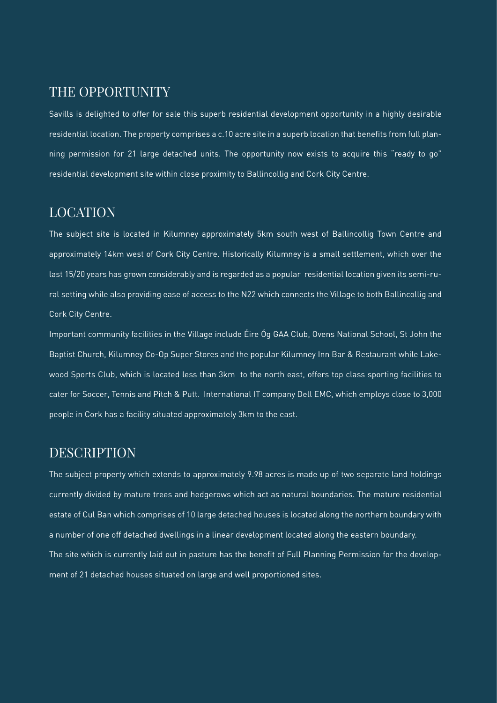### THE OPPORTUNITY

Savills is delighted to offer for sale this superb residential development opportunity in a highly desirable residential location. The property comprises a c.10 acre site in a superb location that benefits from full planning permission for 21 large detached units. The opportunity now exists to acquire this "ready to go" residential development site within close proximity to Ballincollig and Cork City Centre.

### LOCATION

The subject site is located in Kilumney approximately 5km south west of Ballincollig Town Centre and approximately 14km west of Cork City Centre. Historically Kilumney is a small settlement, which over the last 15/20 years has grown considerably and is regarded as a popular residential location given its semi-rural setting while also providing ease of access to the N22 which connects the Village to both Ballincollig and Cork City Centre.

Important community facilities in the Village include Éire Óg GAA Club, Ovens National School, St John the Baptist Church, Kilumney Co-Op Super Stores and the popular Kilumney Inn Bar & Restaurant while Lakewood Sports Club, which is located less than 3km to the north east, offers top class sporting facilities to cater for Soccer, Tennis and Pitch & Putt. International IT company Dell EMC, which employs close to 3,000 people in Cork has a facility situated approximately 3km to the east.

### DESCRIPTION

The subject property which extends to approximately 9.98 acres is made up of two separate land holdings currently divided by mature trees and hedgerows which act as natural boundaries. The mature residential estate of Cul Ban which comprises of 10 large detached houses is located along the northern boundary with a number of one off detached dwellings in a linear development located along the eastern boundary. The site which is currently laid out in pasture has the benefit of Full Planning Permission for the development of 21 detached houses situated on large and well proportioned sites.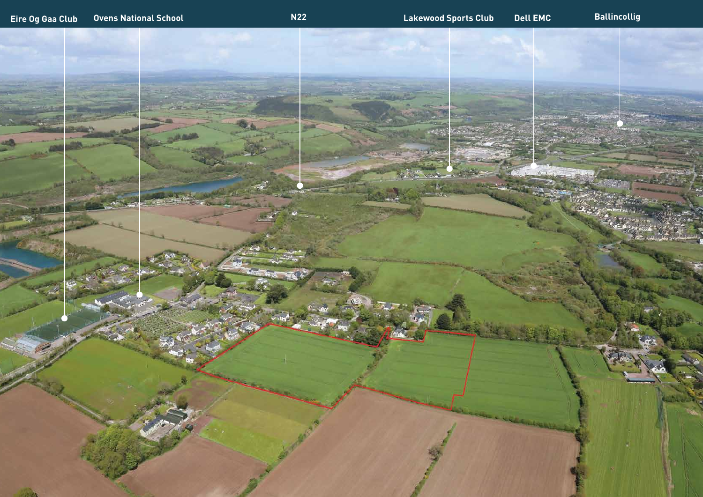

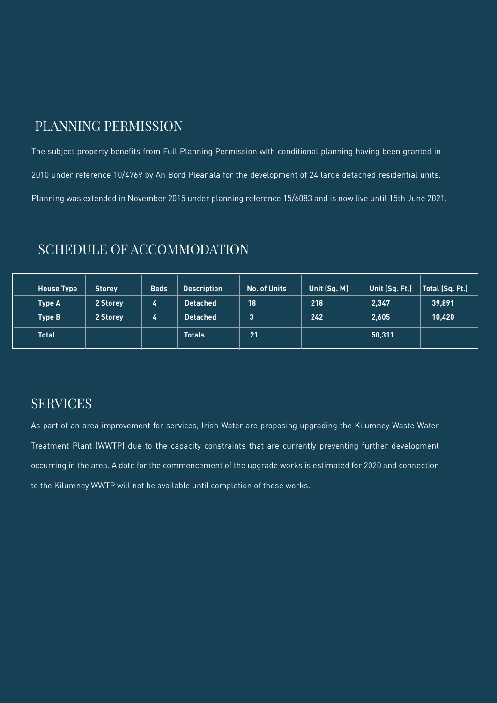### PLANNING PERMISSION

The subject property benefits from Full Planning Permission with conditional planning having been granted in 2010 under reference 10/4769 by An Bord Pleanala for the development of 24 large detached residential units. Planning was extended in November 2015 under planning reference 15/6083 and is now live until 15th June 2021.

| <b>House Type</b> | <b>Storey</b> | <b>Beds</b> | <b>Description</b> | No. of Units | Unit (Sq. M) | Unit (Sq. Ft.) | Total (Sq. Ft.) |
|-------------------|---------------|-------------|--------------------|--------------|--------------|----------------|-----------------|
| <b>Type A</b>     | 2 Storey      | 4           | <b>Detached</b>    | 18           | 218          | 2,347          | 39,891          |
| <b>Type B</b>     | 2 Storey      | 4           | <b>Detached</b>    | 3            | 242          | 2,605          | 10,420          |
| <b>Total</b>      |               |             | <b>Totals</b>      | 21           |              | 50,311         |                 |

### SCHEDULE OF ACCOMMODATION

### SERVICES

As part of an area improvement for services, Irish Water are proposing upgrading the Kilumney Waste Water Treatment Plant (WWTP) due to the capacity constraints that are currently preventing further development occurring in the area. A date for the commencement of the upgrade works is estimated for 2020 and connection to the Kilumney WWTP will not be available until completion of these works.